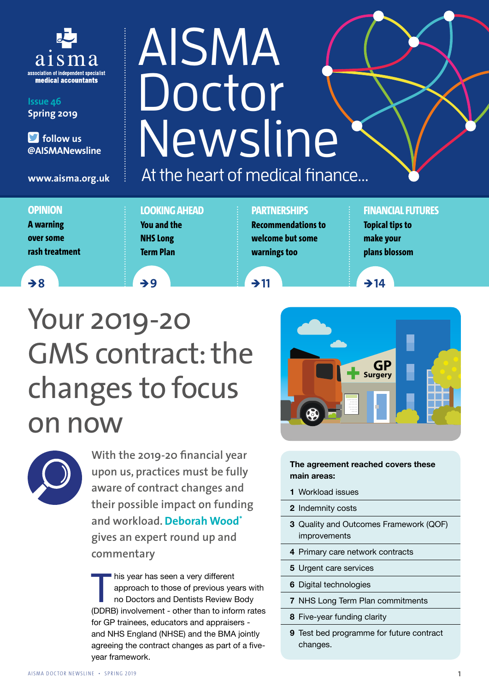

**Issue 46 Spring 2019**

 **follow us @AISMANewsline**

**www.aisma.org.uk**

#### **OPINION**

**A warning over some rash treatment**

#### **LOOKING AHEAD You and the NHS Long Term Plan**

#### **PARTNERSHIPS Recommendations to welcome but some warnings too**

At the heart of medical finance...

Newsline

AISMA

Doctor

#### **FINANCIAL FUTURES**

**Topical tips to make your plans blossom**

<sup>Ò</sup> **8** <sup>Ò</sup> **9** <sup>Ò</sup> **11** <sup>Ò</sup> **14**





**With the 2019-20 financial year upon us, practices must be fully aware of contract changes and their possible impact on funding and workload. Deborah Wood\* gives an expert round up and commentary**

his year has seen a very different<br>approach to those of previous year<br>no Doctors and Dentists Review I<br>(DDRB) involvement - other than to infor approach to those of previous years with no Doctors and Dentists Review Body (DDRB) involvement - other than to inform rates for GP trainees, educators and appraisers and NHS England (NHSE) and the BMA jointly agreeing the contract changes as part of a fiveyear framework.



#### **The agreement reached covers these main areas:**

- **1** Workload issues
- **2** Indemnity costs
- **3** Quality and Outcomes Framework (QOF) improvements
- **4** Primary care network contracts
- **5** Urgent care services
- **6** Digital technologies
- **7** NHS Long Term Plan commitments
- **8** Five-year funding clarity
- **9** Test bed programme for future contract changes.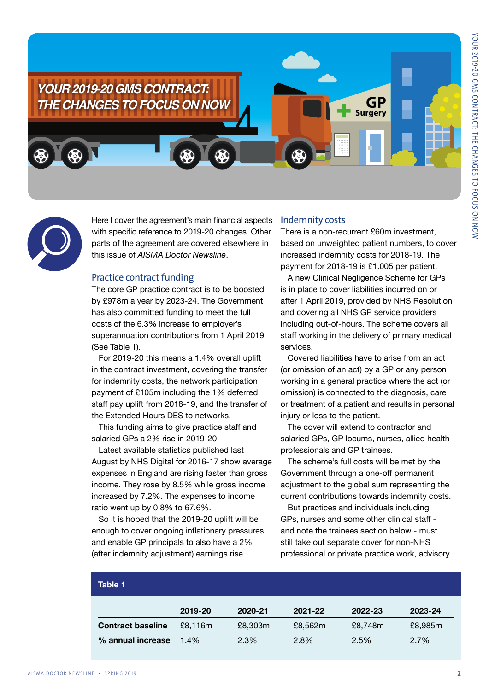

Here I cover the agreement's main financial aspects with specific reference to 2019-20 changes. Other parts of the agreement are covered elsewhere in this issue of *AISMA Doctor Newsline*.

#### Practice contract funding

The core GP practice contract is to be boosted by £978m a year by 2023-24. The Government has also committed funding to meet the full costs of the 6.3% increase to employer's superannuation contributions from 1 April 2019 (See Table 1).

For 2019-20 this means a 1.4% overall uplift in the contract investment, covering the transfer for indemnity costs, the network participation payment of £105m including the 1% deferred staff pay uplift from 2018-19, and the transfer of the Extended Hours DES to networks.

This funding aims to give practice staff and salaried GPs a 2% rise in 2019-20.

Latest available statistics published last August by NHS Digital for 2016-17 show average expenses in England are rising faster than gross income. They rose by 8.5% while gross income increased by 7.2%. The expenses to income ratio went up by 0.8% to 67.6%.

So it is hoped that the 2019-20 uplift will be enough to cover ongoing inflationary pressures and enable GP principals to also have a 2% (after indemnity adjustment) earnings rise.

#### Indemnity costs

There is a non-recurrent £60m investment, based on unweighted patient numbers, to cover increased indemnity costs for 2018-19. The payment for 2018-19 is £1.005 per patient.

A new Clinical Negligence Scheme for GPs is in place to cover liabilities incurred on or after 1 April 2019, provided by NHS Resolution and covering all NHS GP service providers including out-of-hours. The scheme covers all staff working in the delivery of primary medical services.

Covered liabilities have to arise from an act (or omission of an act) by a GP or any person working in a general practice where the act (or omission) is connected to the diagnosis, care or treatment of a patient and results in personal injury or loss to the patient.

The cover will extend to contractor and salaried GPs, GP locums, nurses, allied health professionals and GP trainees.

The scheme's full costs will be met by the Government through a one-off permanent adjustment to the global sum representing the current contributions towards indemnity costs.

But practices and individuals including GPs, nurses and some other clinical staff and note the trainees section below - must still take out separate cover for non-NHS professional or private practice work, advisory

| Table 1                  |         |         |         |         |         |
|--------------------------|---------|---------|---------|---------|---------|
|                          | 2019-20 | 2020-21 | 2021-22 | 2022-23 | 2023-24 |
| <b>Contract baseline</b> | £8,116m | £8,303m | £8,562m | £8,748m | £8,985m |
| % annual increase        | 1.4%    | 2.3%    | 2.8%    | 2.5%    | 2.7%    |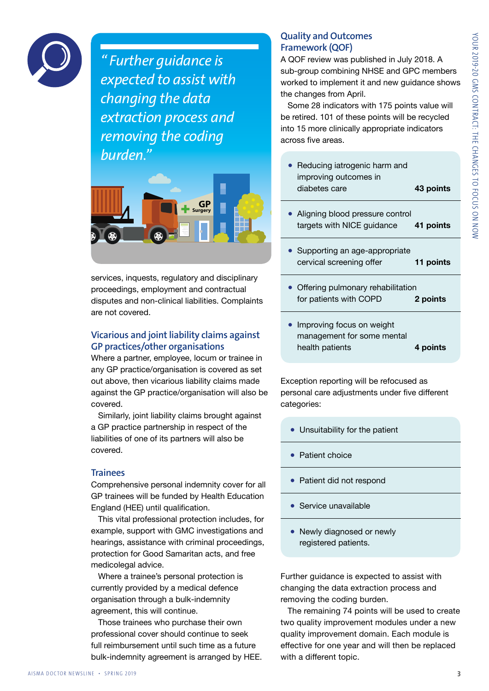

*" Further guidance is expected to assist with changing the data extraction process and removing the coding burden."*



services, inquests, regulatory and disciplinary proceedings, employment and contractual disputes and non-clinical liabilities. Complaints are not covered.

#### Vicarious and joint liability claims against GP practices/other organisations

Where a partner, employee, locum or trainee in any GP practice/organisation is covered as set out above, then vicarious liability claims made against the GP practice/organisation will also be covered.

Similarly, joint liability claims brought against a GP practice partnership in respect of the liabilities of one of its partners will also be covered.

#### **Trainees**

Comprehensive personal indemnity cover for all GP trainees will be funded by Health Education England (HEE) until qualification.

This vital professional protection includes, for example, support with GMC investigations and hearings, assistance with criminal proceedings, protection for Good Samaritan acts, and free medicolegal advice.

Where a trainee's personal protection is currently provided by a medical defence organisation through a bulk-indemnity agreement, this will continue.

Those trainees who purchase their own professional cover should continue to seek full reimbursement until such time as a future bulk-indemnity agreement is arranged by HEE.

#### Quality and Outcomes Framework (QOF)

A QOF review was published in July 2018. A sub-group combining NHSE and GPC members worked to implement it and new guidance shows the changes from April.

Some 28 indicators with 175 points value will be retired. 101 of these points will be recycled into 15 more clinically appropriate indicators across five areas.

| • Reducing iatrogenic harm and<br>improving outcomes in<br>diabetes care | 43 points |
|--------------------------------------------------------------------------|-----------|
| • Aligning blood pressure control<br>targets with NICE guidance          | 41 points |
| • Supporting an age-appropriate<br>cervical screening offer              | 11 points |
| • Offering pulmonary rehabilitation<br>for patients with COPD            | 2 points  |
| Improving focus on weight                                                |           |

management for some mental health patients **4 points**

Exception reporting will be refocused as personal care adjustments under five different categories:

- Unsuitability for the patient
- Patient choice
- Patient did not respond
- Service unavailable
- Newly diagnosed or newly registered patients.

Further guidance is expected to assist with changing the data extraction process and removing the coding burden.

The remaining 74 points will be used to create two quality improvement modules under a new quality improvement domain. Each module is effective for one year and will then be replaced with a different topic.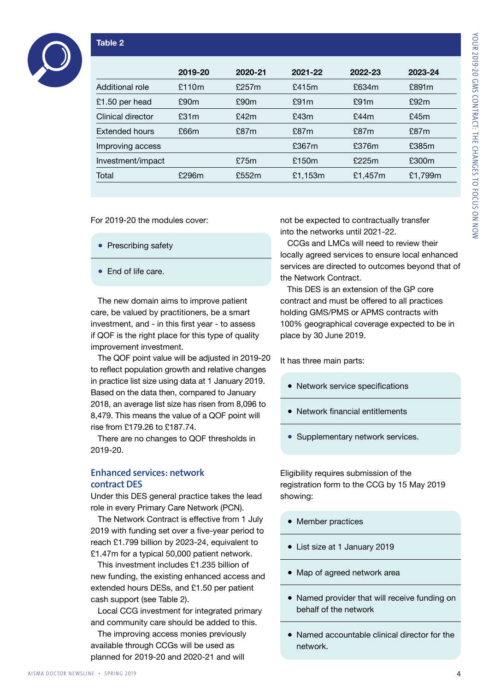# YOUR 2019-20 GMS CONTRACT: THE CHANGES TO FOCUS ON NOW YOUR 2019-20 GMS CONTRACT: THE CHANGES TO FOCUS ON NOW

#### **Table 2**

|                   | 2019-20 | 2020-21 | 2021-22 | 2022-23    | 2023-24 |
|-------------------|---------|---------|---------|------------|---------|
| Additional role   | £110m   | £257m   | £415m   | £634m      | £891m   |
| £1.50 per head    | £90m    | £90m    | £91m    | £91m       | £92m    |
| Clinical director | £31m    | £42m    | £43m    | £44m       | £45 $m$ |
| Extended hours    | £66m    | £87m    | £87m    | £87m       | £87m    |
| Improving access  |         |         | £367m   | £376m      | £385m   |
| Investment/impact |         | £75m    | £150m   | £225m      | £300m   |
| Total             | £296m   | £552m   | £1,153m | £1,457 $m$ | £1,799m |
|                   |         |         |         |            |         |

For 2019-20 the modules cover:

- Prescribing safety
- End of life care.

The new domain aims to improve patient care, be valued by practitioners, be a smart investment, and - in this first year - to assess if QOF is the right place for this type of quality improvement investment.

The QOF point value will be adjusted in 2019-20 to reflect population growth and relative changes in practice list size using data at 1 January 2019. Based on the data then, compared to January 2018, an average list size has risen from 8,096 to 8,479. This means the value of a QOF point will rise from £179.26 to £187.74.

There are no changes to QOF thresholds in 2019-20.

#### Enhanced services: network contract DES

Under this DES general practice takes the lead role in every Primary Care Network (PCN).

The Network Contract is effective from 1 July 2019 with funding set over a five-year period to reach £1.799 billion by 2023-24, equivalent to £1.47m for a typical 50,000 patient network.

This investment includes £1.235 billion of new funding, the existing enhanced access and extended hours DESs, and £1.50 per patient cash support (see Table 2).

Local CCG investment for integrated primary and community care should be added to this.

The improving access monies previously available through CCGs will be used as planned for 2019-20 and 2020-21 and will

not be expected to contractually transfer into the networks until 2021-22.

CCGs and LMCs will need to review their locally agreed services to ensure local enhanced services are directed to outcomes beyond that of the Network Contract.

This DES is an extension of the GP core contract and must be offered to all practices holding GMS/PMS or APMS contracts with 100% geographical coverage expected to be in place by 30 June 2019.

It has three main parts:

- Network service specifications
- Network financial entitlements
- Supplementary network services.

Eligibility requires submission of the registration form to the CCG by 15 May 2019 showing:

- Member practices
- List size at 1 January 2019
- Map of agreed network area
- Named provider that will receive funding on behalf of the network
- Named accountable clinical director for the network.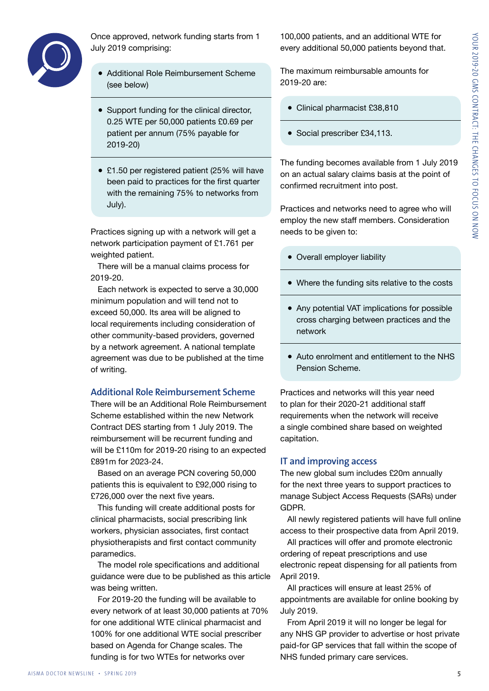

Once approved, network funding starts from 1 July 2019 comprising:

- Additional Role Reimbursement Scheme (see below)
- Support funding for the clinical director, 0.25 WTE per 50,000 patients £0.69 per patient per annum (75% payable for 2019-20)
- £1.50 per registered patient (25% will have been paid to practices for the first quarter with the remaining 75% to networks from July).

Practices signing up with a network will get a network participation payment of £1.761 per weighted patient.

There will be a manual claims process for 2019-20.

Each network is expected to serve a 30,000 minimum population and will tend not to exceed 50,000. Its area will be aligned to local requirements including consideration of other community-based providers, governed by a network agreement. A national template agreement was due to be published at the time of writing.

#### Additional Role Reimbursement Scheme

There will be an Additional Role Reimbursement Scheme established within the new Network Contract DES starting from 1 July 2019. The reimbursement will be recurrent funding and will be £110m for 2019-20 rising to an expected £891m for 2023-24.

Based on an average PCN covering 50,000 patients this is equivalent to £92,000 rising to £726,000 over the next five years.

This funding will create additional posts for clinical pharmacists, social prescribing link workers, physician associates, first contact physiotherapists and first contact community paramedics.

The model role specifications and additional guidance were due to be published as this article was being written.

For 2019-20 the funding will be available to every network of at least 30,000 patients at 70% for one additional WTE clinical pharmacist and 100% for one additional WTE social prescriber based on Agenda for Change scales. The funding is for two WTEs for networks over

100,000 patients, and an additional WTE for every additional 50,000 patients beyond that.

The maximum reimbursable amounts for 2019-20 are:

- Clinical pharmacist £38,810
- Social prescriber £34,113.

The funding becomes available from 1 July 2019 on an actual salary claims basis at the point of confirmed recruitment into post.

Practices and networks need to agree who will employ the new staff members. Consideration needs to be given to:

- Overall employer liability
- Where the funding sits relative to the costs
- Any potential VAT implications for possible cross charging between practices and the network
- Auto enrolment and entitlement to the NHS Pension Scheme.

Practices and networks will this year need to plan for their 2020-21 additional staff requirements when the network will receive a single combined share based on weighted capitation.

#### IT and improving access

The new global sum includes £20m annually for the next three years to support practices to manage Subject Access Requests (SARs) under GDPR.

All newly registered patients will have full online access to their prospective data from April 2019.

All practices will offer and promote electronic ordering of repeat prescriptions and use electronic repeat dispensing for all patients from April 2019.

All practices will ensure at least 25% of appointments are available for online booking by July 2019.

From April 2019 it will no longer be legal for any NHS GP provider to advertise or host private paid-for GP services that fall within the scope of NHS funded primary care services.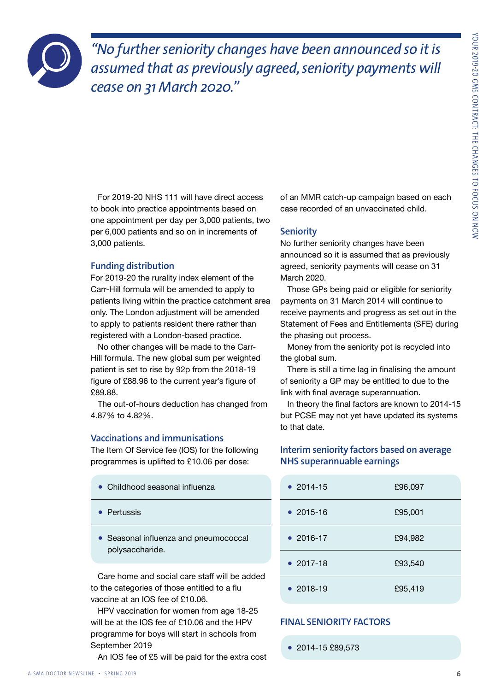

*"No further seniority changes have been announced so it is assumed that as previously agreed, seniority payments will cease on 31 March 2020."*

For 2019-20 NHS 111 will have direct access to book into practice appointments based on one appointment per day per 3,000 patients, two per 6,000 patients and so on in increments of 3,000 patients.

#### Funding distribution

For 2019-20 the rurality index element of the Carr-Hill formula will be amended to apply to patients living within the practice catchment area only. The London adjustment will be amended to apply to patients resident there rather than registered with a London-based practice.

No other changes will be made to the Carr-Hill formula. The new global sum per weighted patient is set to rise by 92p from the 2018-19 figure of £88.96 to the current year's figure of £89.88.

The out-of-hours deduction has changed from 4.87% to 4.82%.

#### Vaccinations and immunisations

The Item Of Service fee (IOS) for the following programmes is uplifted to £10.06 per dose:

| • Childhood seasonal influenza |  |
|--------------------------------|--|
|--------------------------------|--|

- Pertussis
- Seasonal influenza and pneumococcal polysaccharide.

Care home and social care staff will be added to the categories of those entitled to a flu vaccine at an IOS fee of £10.06.

HPV vaccination for women from age 18-25 will be at the IOS fee of £10.06 and the HPV programme for boys will start in schools from September 2019

An IOS fee of £5 will be paid for the extra cost

of an MMR catch-up campaign based on each case recorded of an unvaccinated child.

#### **Seniority**

No further seniority changes have been announced so it is assumed that as previously agreed, seniority payments will cease on 31 March 2020.

Those GPs being paid or eligible for seniority payments on 31 March 2014 will continue to receive payments and progress as set out in the Statement of Fees and Entitlements (SFE) during the phasing out process.

Money from the seniority pot is recycled into the global sum.

There is still a time lag in finalising the amount of seniority a GP may be entitled to due to the link with final average superannuation.

In theory the final factors are known to 2014-15 but PCSE may not yet have updated its systems to that date.

#### Interim seniority factors based on average NHS superannuable earnings

| • $2014 - 15$ | £96,097 |
|---------------|---------|
| • $2015 - 16$ | £95,001 |
| • 2016-17     | £94,982 |
| • $2017 - 18$ | £93,540 |
| • $2018 - 19$ | £95,419 |

#### FINAL SENIORITY FACTORS

● 2014-15 £89,573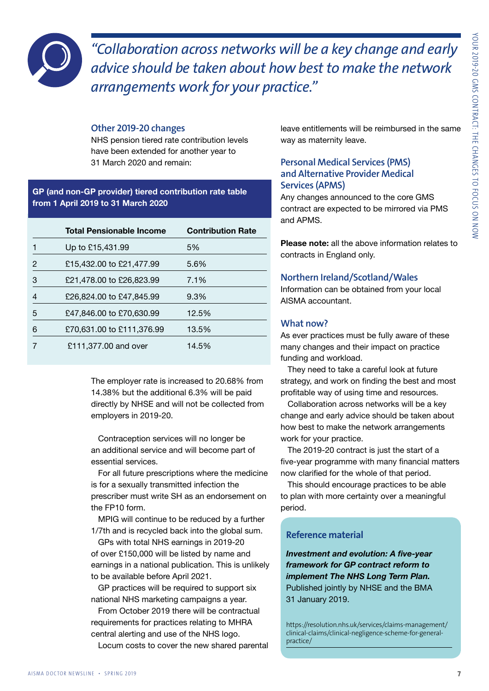

*"Collaboration across networks will be a key change and early advice should be taken about how best to make the network arrangements work for your practice."*

#### Other 2019-20 changes

NHS pension tiered rate contribution levels have been extended for another year to 31 March 2020 and remain:

#### **GP (and non-GP provider) tiered contribution rate table from 1 April 2019 to 31 March 2020**

|   | <b>Total Pensionable Income</b> | <b>Contribution Rate</b> |
|---|---------------------------------|--------------------------|
|   | Up to £15,431.99                | 5%                       |
| 2 | £15,432.00 to £21,477.99        | 5.6%                     |
| З | £21,478.00 to £26,823.99        | 7.1%                     |
|   | £26,824,00 to £47,845,99        | 9.3%                     |
| 5 | £47,846.00 to £70,630.99        | 12.5%                    |
| 6 | £70,631.00 to £111,376.99       | 13.5%                    |
|   | £111,377.00 and over            | 14.5%                    |

The employer rate is increased to 20.68% from 14.38% but the additional 6.3% will be paid directly by NHSE and will not be collected from employers in 2019-20.

Contraception services will no longer be an additional service and will become part of essential services.

For all future prescriptions where the medicine is for a sexually transmitted infection the prescriber must write SH as an endorsement on the FP10 form.

MPIG will continue to be reduced by a further 1/7th and is recycled back into the global sum.

GPs with total NHS earnings in 2019-20 of over £150,000 will be listed by name and earnings in a national publication. This is unlikely to be available before April 2021.

GP practices will be required to support six national NHS marketing campaigns a year.

From October 2019 there will be contractual requirements for practices relating to MHRA central alerting and use of the NHS logo. Locum costs to cover the new shared parental leave entitlements will be reimbursed in the same way as maternity leave.

#### Personal Medical Services (PMS) and Alternative Provider Medical Services (APMS)

Any changes announced to the core GMS contract are expected to be mirrored via PMS and APMS.

**Please note:** all the above information relates to contracts in England only.

#### Northern Ireland/Scotland/Wales

Information can be obtained from your local AISMA accountant.

#### What now?

As ever practices must be fully aware of these many changes and their impact on practice funding and workload.

They need to take a careful look at future strategy, and work on finding the best and most profitable way of using time and resources.

Collaboration across networks will be a key change and early advice should be taken about how best to make the network arrangements work for your practice.

The 2019-20 contract is just the start of a five-year programme with many financial matters now clarified for the whole of that period.

This should encourage practices to be able to plan with more certainty over a meaningful period.

#### **Reference material**

*Investment and evolution: A five-year framework for GP contract reform to implement The NHS Long Term Plan.* Published jointly by NHSE and the BMA 31 January 2019.

https://resolution.nhs.uk/services/claims-management/ clinical-claims/clinical-negligence-scheme-for-generalpractice/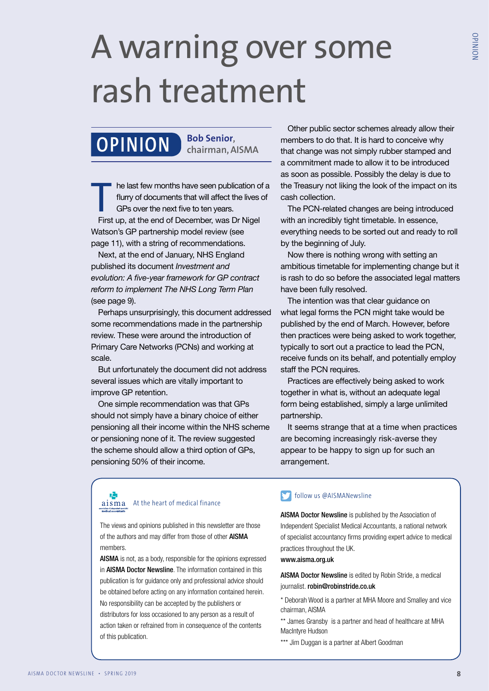### A warning over some rash treatment

### **Bob Senior, OPINION chairman, AISMA**

he last few months have seen publication of a flurry of documents that will affect the lives of GPs over the next five to ten years. First up, at the end of December, was Dr Nigel Watson's GP partnership model review (see page 11), with a string of recommendations.

Next, at the end of January, NHS England published its document *Investment and evolution: A five-year framework for GP contract reform to implement The NHS Long Term Plan* (see page 9).

Perhaps unsurprisingly, this document addressed some recommendations made in the partnership review. These were around the introduction of Primary Care Networks (PCNs) and working at scale.

But unfortunately the document did not address several issues which are vitally important to improve GP retention.

One simple recommendation was that GPs should not simply have a binary choice of either pensioning all their income within the NHS scheme or pensioning none of it. The review suggested the scheme should allow a third option of GPs, pensioning 50% of their income.

Other public sector schemes already allow their members to do that. It is hard to conceive why that change was not simply rubber stamped and a commitment made to allow it to be introduced as soon as possible. Possibly the delay is due to the Treasury not liking the look of the impact on its cash collection.

The PCN-related changes are being introduced with an incredibly tight timetable. In essence, everything needs to be sorted out and ready to roll by the beginning of July.

Now there is nothing wrong with setting an ambitious timetable for implementing change but it is rash to do so before the associated legal matters have been fully resolved.

The intention was that clear guidance on what legal forms the PCN might take would be published by the end of March. However, before then practices were being asked to work together, typically to sort out a practice to lead the PCN, receive funds on its behalf, and potentially employ staff the PCN requires.

Practices are effectively being asked to work together in what is, without an adequate legal form being established, simply a large unlimited partnership.

It seems strange that at a time when practices are becoming increasingly risk-averse they appear to be happy to sign up for such an arrangement.

#### 吗 aisma At the heart of medical finance

The views and opinions published in this newsletter are those of the authors and may differ from those of other AISMA members.

AISMA is not, as a body, responsible for the opinions expressed in AISMA Doctor Newsline. The information contained in this publication is for guidance only and professional advice should be obtained before acting on any information contained herein. No responsibility can be accepted by the publishers or distributors for loss occasioned to any person as a result of action taken or refrained from in consequence of the contents of this publication.

#### follow us @AISMANewsline

AISMA Doctor Newsline is published by the Association of Independent Specialist Medical Accountants, a national network of specialist accountancy firms providing expert advice to medical practices throughout the UK.

www.aisma.org.uk

AISMA Doctor Newsline is edited by Robin Stride, a medical journalist. robin@robinstride.co.uk

\* Deborah Wood is a partner at MHA Moore and Smalley and vice chairman, AISMA

\*\* James Gransby is a partner and head of healthcare at MHA MacIntyre Hudson

\*\*\* Jim Duggan is a partner at Albert Goodman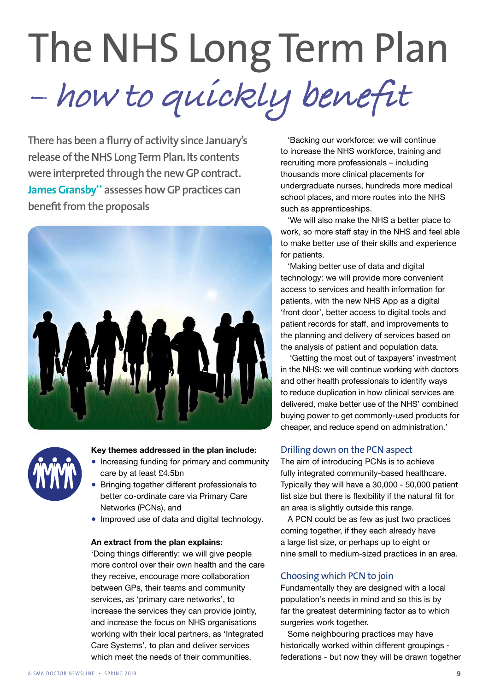## The NHS Long Term Plan **– how to quickly benefit**

**There has been a flurry of activity since January's release of the NHS Long Term Plan. Its contents were interpreted through the new GP contract. James Gransby\*\* assesses how GP practices can benefit from the proposals**





#### **Key themes addressed in the plan include:**

- Increasing funding for primary and community care by at least £4.5bn
- Bringing together different professionals to better co-ordinate care via Primary Care Networks (PCNs), and
- Improved use of data and digital technology.

#### **An extract from the plan explains:**

'Doing things differently: we will give people more control over their own health and the care they receive, encourage more collaboration between GPs, their teams and community services, as 'primary care networks', to increase the services they can provide jointly, and increase the focus on NHS organisations working with their local partners, as 'Integrated Care Systems', to plan and deliver services which meet the needs of their communities.

'Backing our workforce: we will continue to increase the NHS workforce, training and recruiting more professionals – including thousands more clinical placements for undergraduate nurses, hundreds more medical school places, and more routes into the NHS such as apprenticeships.

'We will also make the NHS a better place to work, so more staff stay in the NHS and feel able to make better use of their skills and experience for patients.

'Making better use of data and digital technology: we will provide more convenient access to services and health information for patients, with the new NHS App as a digital 'front door', better access to digital tools and patient records for staff, and improvements to the planning and delivery of services based on the analysis of patient and population data.

 'Getting the most out of taxpayers' investment in the NHS: we will continue working with doctors and other health professionals to identify ways to reduce duplication in how clinical services are delivered, make better use of the NHS' combined buying power to get commonly-used products for cheaper, and reduce spend on administration.'

#### Drilling down on the PCN aspect

The aim of introducing PCNs is to achieve fully integrated community-based healthcare. Typically they will have a 30,000 - 50,000 patient list size but there is flexibility if the natural fit for an area is slightly outside this range.

A PCN could be as few as just two practices coming together, if they each already have a large list size, or perhaps up to eight or nine small to medium-sized practices in an area.

#### Choosing which PCN to join

Fundamentally they are designed with a local population's needs in mind and so this is by far the greatest determining factor as to which surgeries work together.

Some neighbouring practices may have historically worked within different groupings federations - but now they will be drawn together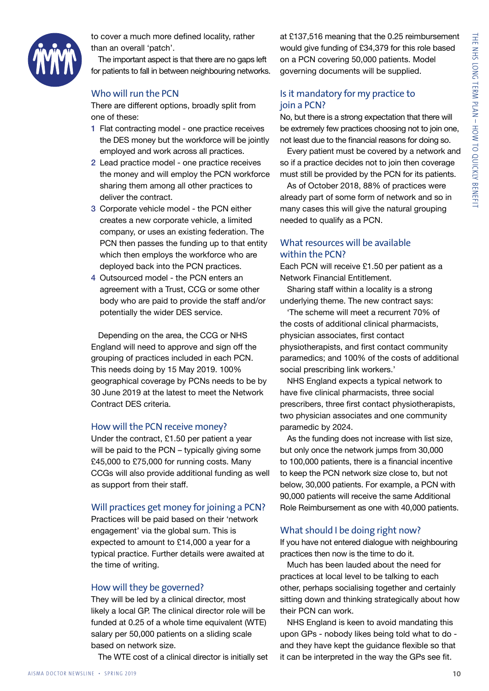

to cover a much more defined locality, rather than an overall 'patch'.

The important aspect is that there are no gaps left for patients to fall in between neighbouring networks.

#### Who will run the PCN

There are different options, broadly split from one of these:

- 1 Flat contracting model one practice receives the DES money but the workforce will be jointly employed and work across all practices.
- 2 Lead practice model one practice receives the money and will employ the PCN workforce sharing them among all other practices to deliver the contract.
- 3 Corporate vehicle model the PCN either creates a new corporate vehicle, a limited company, or uses an existing federation. The PCN then passes the funding up to that entity which then employs the workforce who are deployed back into the PCN practices.
- 4 Outsourced model the PCN enters an agreement with a Trust, CCG or some other body who are paid to provide the staff and/or potentially the wider DES service.

Depending on the area, the CCG or NHS England will need to approve and sign off the grouping of practices included in each PCN. This needs doing by 15 May 2019. 100% geographical coverage by PCNs needs to be by 30 June 2019 at the latest to meet the Network Contract DES criteria.

#### How will the PCN receive money?

Under the contract, £1.50 per patient a year will be paid to the PCN – typically giving some £45,000 to £75,000 for running costs. Many CCGs will also provide additional funding as well as support from their staff.

#### Will practices get money for joining a PCN?

Practices will be paid based on their 'network engagement' via the global sum. This is expected to amount to £14,000 a year for a typical practice. Further details were awaited at the time of writing.

#### How will they be governed?

They will be led by a clinical director, most likely a local GP. The clinical director role will be funded at 0.25 of a whole time equivalent (WTE) salary per 50,000 patients on a sliding scale based on network size.

The WTE cost of a clinical director is initially set

at £137,516 meaning that the 0.25 reimbursement would give funding of £34,379 for this role based on a PCN covering 50,000 patients. Model governing documents will be supplied.

#### Is it mandatory for my practice to join a PCN?

No, but there is a strong expectation that there will be extremely few practices choosing not to join one, not least due to the financial reasons for doing so.

Every patient must be covered by a network and so if a practice decides not to join then coverage must still be provided by the PCN for its patients.

As of October 2018, 88% of practices were already part of some form of network and so in many cases this will give the natural grouping needed to qualify as a PCN.

#### What resources will be available within the PCN?

Each PCN will receive £1.50 per patient as a Network Financial Entitlement.

Sharing staff within a locality is a strong underlying theme. The new contract says:

'The scheme will meet a recurrent 70% of the costs of additional clinical pharmacists, physician associates, first contact physiotherapists, and first contact community paramedics; and 100% of the costs of additional social prescribing link workers.'

NHS England expects a typical network to have five clinical pharmacists, three social prescribers, three first contact physiotherapists, two physician associates and one community paramedic by 2024.

As the funding does not increase with list size, but only once the network jumps from 30,000 to 100,000 patients, there is a financial incentive to keep the PCN network size close to, but not below, 30,000 patients. For example, a PCN with 90,000 patients will receive the same Additional Role Reimbursement as one with 40,000 patients.

#### What should I be doing right now?

If you have not entered dialogue with neighbouring practices then now is the time to do it.

Much has been lauded about the need for practices at local level to be talking to each other, perhaps socialising together and certainly sitting down and thinking strategically about how their PCN can work.

NHS England is keen to avoid mandating this upon GPs - nobody likes being told what to do and they have kept the guidance flexible so that it can be interpreted in the way the GPs see fit.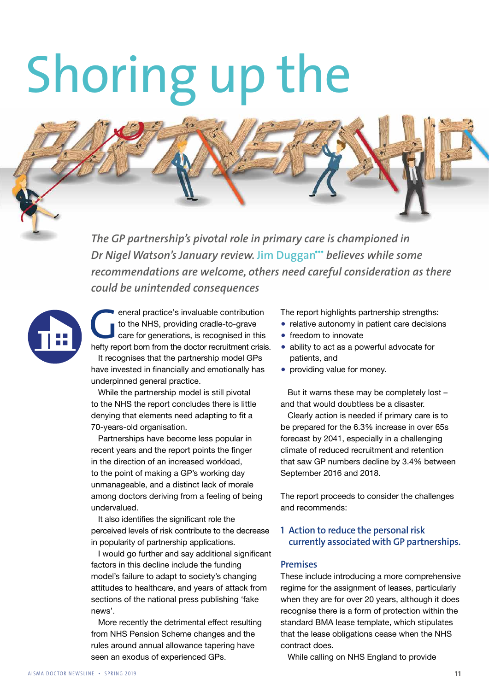# Shoring up the

*The GP partnership's pivotal role in primary care is championed in Dr Nigel Watson's January review.* **Jim Duggan\*\*\*** *believes while some recommendations are welcome, others need careful consideration as there could be unintended consequences* 

eneral practice's invaluable contribution<br>to the NHS, providing cradle-to-grave<br>care for generations, is recognised in this<br>hefty report born from the doctor recruitment crisis. to the NHS, providing cradle-to-grave care for generations, is recognised in this It recognises that the partnership model GPs have invested in financially and emotionally has underpinned general practice.

> While the partnership model is still pivotal to the NHS the report concludes there is little denying that elements need adapting to fit a 70-years-old organisation.

Partnerships have become less popular in recent years and the report points the finger in the direction of an increased workload, to the point of making a GP's working day unmanageable, and a distinct lack of morale among doctors deriving from a feeling of being undervalued.

It also identifies the significant role the perceived levels of risk contribute to the decrease in popularity of partnership applications.

I would go further and say additional significant factors in this decline include the funding model's failure to adapt to society's changing attitudes to healthcare, and years of attack from sections of the national press publishing 'fake news'.

More recently the detrimental effect resulting from NHS Pension Scheme changes and the rules around annual allowance tapering have seen an exodus of experienced GPs.

The report highlights partnership strengths:

- relative autonomy in patient care decisions
- freedom to innovate
- ability to act as a powerful advocate for patients, and
- providing value for money.

But it warns these may be completely lost – and that would doubtless be a disaster.

Clearly action is needed if primary care is to be prepared for the 6.3% increase in over 65s forecast by 2041, especially in a challenging climate of reduced recruitment and retention that saw GP numbers decline by 3.4% between September 2016 and 2018.

The report proceeds to consider the challenges and recommends:

#### 1 Action to reduce the personal risk currently associated with GP partnerships.

#### Premises

These include introducing a more comprehensive regime for the assignment of leases, particularly when they are for over 20 years, although it does recognise there is a form of protection within the standard BMA lease template, which stipulates that the lease obligations cease when the NHS contract does.

While calling on NHS England to provide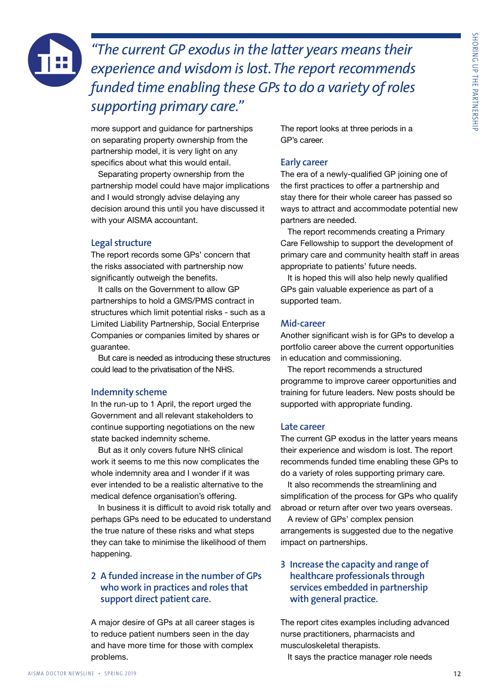

*"The current GP exodus in the latter years means their experience and wisdom is lost. The report recommends funded time enabling these GPs to do a variety of roles supporting primary care."*

more support and guidance for partnerships on separating property ownership from the partnership model, it is very light on any specifics about what this would entail.

Separating property ownership from the partnership model could have major implications and I would strongly advise delaying any decision around this until you have discussed it with your AISMA accountant.

#### Legal structure

The report records some GPs' concern that the risks associated with partnership now significantly outweigh the benefits.

It calls on the Government to allow GP partnerships to hold a GMS/PMS contract in structures which limit potential risks - such as a Limited Liability Partnership, Social Enterprise Companies or companies limited by shares or guarantee.

But care is needed as introducing these structures could lead to the privatisation of the NHS.

#### Indemnity scheme

In the run-up to 1 April, the report urged the Government and all relevant stakeholders to continue supporting negotiations on the new state backed indemnity scheme.

But as it only covers future NHS clinical work it seems to me this now complicates the whole indemnity area and I wonder if it was ever intended to be a realistic alternative to the medical defence organisation's offering.

In business it is difficult to avoid risk totally and perhaps GPs need to be educated to understand the true nature of these risks and what steps they can take to minimise the likelihood of them happening.

#### 2 A funded increase in the number of GPs who work in practices and roles that support direct patient care.

A major desire of GPs at all career stages is to reduce patient numbers seen in the day and have more time for those with complex problems.

The report looks at three periods in a GP's career.

#### Early career

The era of a newly-qualified GP joining one of the first practices to offer a partnership and stay there for their whole career has passed so ways to attract and accommodate potential new partners are needed.

The report recommends creating a Primary Care Fellowship to support the development of primary care and community health staff in areas appropriate to patients' future needs.

It is hoped this will also help newly qualified GPs gain valuable experience as part of a supported team.

#### Mid-career

Another significant wish is for GPs to develop a portfolio career above the current opportunities in education and commissioning.

The report recommends a structured programme to improve career opportunities and training for future leaders. New posts should be supported with appropriate funding.

#### Late career

The current GP exodus in the latter years means their experience and wisdom is lost. The report recommends funded time enabling these GPs to do a variety of roles supporting primary care.

It also recommends the streamlining and simplification of the process for GPs who qualify abroad or return after over two years overseas.

A review of GPs' complex pension arrangements is suggested due to the negative impact on partnerships.

#### 3 Increase the capacity and range of healthcare professionals through services embedded in partnership with general practice.

The report cites examples including advanced nurse practitioners, pharmacists and musculoskeletal therapists.

It says the practice manager role needs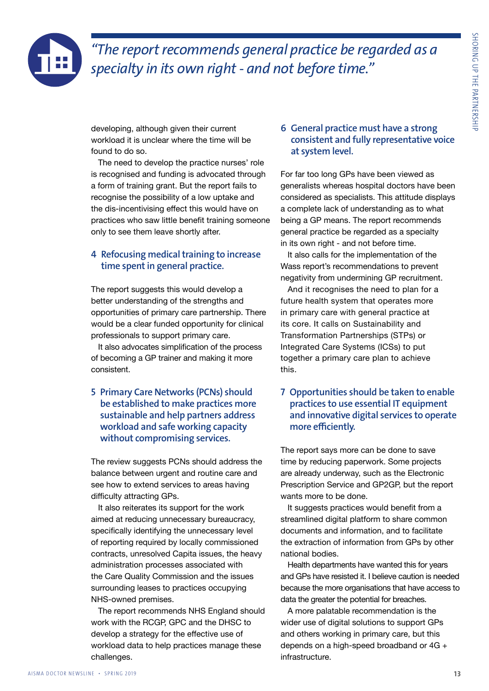

### *"The report recommends general practice be regarded as a specialty in its own right - and not before time."*

developing, although given their current workload it is unclear where the time will be found to do so.

The need to develop the practice nurses' role is recognised and funding is advocated through a form of training grant. But the report fails to recognise the possibility of a low uptake and the dis-incentivising effect this would have on practices who saw little benefit training someone only to see them leave shortly after.

#### 4 Refocusing medical training to increase time spent in general practice.

The report suggests this would develop a better understanding of the strengths and opportunities of primary care partnership. There would be a clear funded opportunity for clinical professionals to support primary care.

It also advocates simplification of the process of becoming a GP trainer and making it more consistent.

#### 5 Primary Care Networks (PCNs) should be established to make practices more sustainable and help partners address workload and safe working capacity without compromising services.

The review suggests PCNs should address the balance between urgent and routine care and see how to extend services to areas having difficulty attracting GPs.

It also reiterates its support for the work aimed at reducing unnecessary bureaucracy, specifically identifying the unnecessary level of reporting required by locally commissioned contracts, unresolved Capita issues, the heavy administration processes associated with the Care Quality Commission and the issues surrounding leases to practices occupying NHS-owned premises.

The report recommends NHS England should work with the RCGP, GPC and the DHSC to develop a strategy for the effective use of workload data to help practices manage these challenges.

#### 6 General practice must have a strong consistent and fully representative voice at system level.

For far too long GPs have been viewed as generalists whereas hospital doctors have been considered as specialists. This attitude displays a complete lack of understanding as to what being a GP means. The report recommends general practice be regarded as a specialty in its own right - and not before time.

It also calls for the implementation of the Wass report's recommendations to prevent negativity from undermining GP recruitment.

And it recognises the need to plan for a future health system that operates more in primary care with general practice at its core. It calls on Sustainability and Transformation Partnerships (STPs) or Integrated Care Systems (ICSs) to put together a primary care plan to achieve this.

#### 7 Opportunities should be taken to enable practices to use essential IT equipment and innovative digital services to operate more efficiently.

The report says more can be done to save time by reducing paperwork. Some projects are already underway, such as the Electronic Prescription Service and GP2GP, but the report wants more to be done.

It suggests practices would benefit from a streamlined digital platform to share common documents and information, and to facilitate the extraction of information from GPs by other national bodies.

Health departments have wanted this for years and GPs have resisted it. I believe caution is needed because the more organisations that have access to data the greater the potential for breaches.

A more palatable recommendation is the wider use of digital solutions to support GPs and others working in primary care, but this depends on a high-speed broadband or 4G + infrastructure.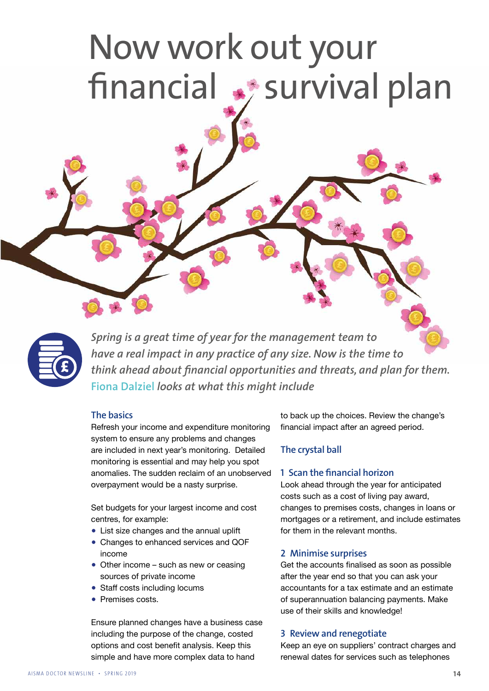### Now work out your financial  $\clubsuit$  survival plan



*Spring is a great time of year for the management team to have a real impact in any practice of any size. Now is the time to think ahead about financial opportunities and threats, and plan for them.*  **Fiona Dalziel** *looks at what this might include*

#### The basics

Refresh your income and expenditure monitoring system to ensure any problems and changes are included in next year's monitoring. Detailed monitoring is essential and may help you spot anomalies. The sudden reclaim of an unobserved overpayment would be a nasty surprise.

Set budgets for your largest income and cost centres, for example:

- List size changes and the annual uplift
- Changes to enhanced services and QOF income
- Other income such as new or ceasing sources of private income
- Staff costs including locums
- Premises costs

Ensure planned changes have a business case including the purpose of the change, costed options and cost benefit analysis. Keep this simple and have more complex data to hand

to back up the choices. Review the change's financial impact after an agreed period.

#### The crystal ball

#### 1 Scan the financial horizon

Look ahead through the year for anticipated costs such as a cost of living pay award, changes to premises costs, changes in loans or mortgages or a retirement, and include estimates for them in the relevant months.

#### 2 Minimise surprises

Get the accounts finalised as soon as possible after the year end so that you can ask your accountants for a tax estimate and an estimate of superannuation balancing payments. Make use of their skills and knowledge!

#### 3 Review and renegotiate

Keep an eye on suppliers' contract charges and renewal dates for services such as telephones